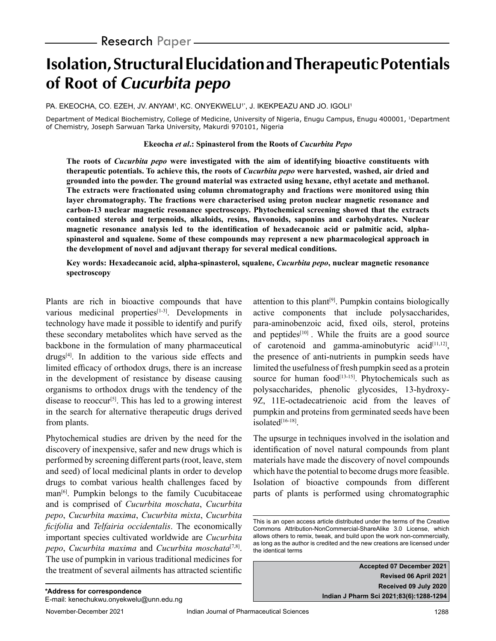# **Isolation, Structural Elucidation and Therapeutic Potentials of Root of Cucurbita pepo**

PA. EKEOCHA, CO. EZEH, JV. ANYAM', KC. ONYEKWELU'', J. IKEKPEAZU AND JO. IGOLI'

Department of Medical Biochemistry, College of Medicine, University of Nigeria, Enugu Campus, Enugu 400001, <sup>1</sup>Department of Chemistry, Joseph Sarwuan Tarka University, Makurdi 970101, Nigeria

#### **Ekeocha** *et al***.: Spinasterol from the Roots of** *Cucurbita Pepo*

**The roots of** *Cucurbita pepo* **were investigated with the aim of identifying bioactive constituents with therapeutic potentials. To achieve this, the roots of** *Cucurbita pepo* **were harvested, washed, air dried and grounded into the powder. The ground material was extracted using hexane, ethyl acetate and methanol. The extracts were fractionated using column chromatography and fractions were monitored using thin layer chromatography. The fractions were characterised using proton nuclear magnetic resonance and carbon-13 nuclear magnetic resonance spectroscopy. Phytochemical screening showed that the extracts contained sterols and terpenoids, alkaloids, resins, flavonoids, saponins and carbohydrates. Nuclear magnetic resonance analysis led to the identification of hexadecanoic acid or palmitic acid, alphaspinasterol and squalene. Some of these compounds may represent a new pharmacological approach in the development of novel and adjuvant therapy for several medical conditions.**

**Key words: Hexadecanoic acid, alpha-spinasterol, squalene,** *Cucurbita pepo***, nuclear magnetic resonance spectroscopy**

Plants are rich in bioactive compounds that have various medicinal properties<sup>[1-3]</sup>. Developments in technology have made it possible to identify and purify these secondary metabolites which have served as the backbone in the formulation of many pharmaceutical drugs[4]. In addition to the various side effects and limited efficacy of orthodox drugs, there is an increase in the development of resistance by disease causing organisms to orthodox drugs with the tendency of the disease to reoccur<sup>[5]</sup>. This has led to a growing interest in the search for alternative therapeutic drugs derived from plants.

Phytochemical studies are driven by the need for the discovery of inexpensive, safer and new drugs which is performed by screening different parts (root, leave, stem and seed) of local medicinal plants in order to develop drugs to combat various health challenges faced by man<sup>[6]</sup>. Pumpkin belongs to the family Cucubitaceae and is comprised of *Cucurbita moschata*, *Cucurbita pepo*, *Cucurbita maxima*, *Cucurbita mixta*, *Cucurbita ficifolia* and *Telfairia occidentalis*. The economically important species cultivated worldwide are *Cucurbita pepo*, *Cucurbita maxima* and *Cucurbita moschata*[7,8]. The use of pumpkin in various traditional medicines for the treatment of several ailments has attracted scientific attention to this plant<sup>[9]</sup>. Pumpkin contains biologically active components that include polysaccharides, para-aminobenzoic acid, fixed oils, sterol, proteins and peptides<sup>[10]</sup>. While the fruits are a good source of carotenoid and gamma-aminobutyric acid $[11,12]$ , the presence of anti-nutrients in pumpkin seeds have limited the usefulness of fresh pumpkin seed as a protein source for human food<sup>[13-15]</sup>. Phytochemicals such as polysaccharides, phenolic glycosides, 13-hydroxy-9Z, 11E-octadecatrienoic acid from the leaves of pumpkin and proteins from germinated seeds have been isolated<sup>[16-18]</sup>.

The upsurge in techniques involved in the isolation and identification of novel natural compounds from plant materials have made the discovery of novel compounds which have the potential to become drugs more feasible. Isolation of bioactive compounds from different parts of plants is performed using chromatographic

**Accepted 07 December 2021 Revised 06 April 2021 Received 09 July 2020 Indian J Pharm Sci 2021;83(6):1288-1294**

This is an open access article distributed under the terms of the Creative Commons Attribution-NonCommercial-ShareAlike 3.0 License, which allows others to remix, tweak, and build upon the work non-commercially, as long as the author is credited and the new creations are licensed under the identical terms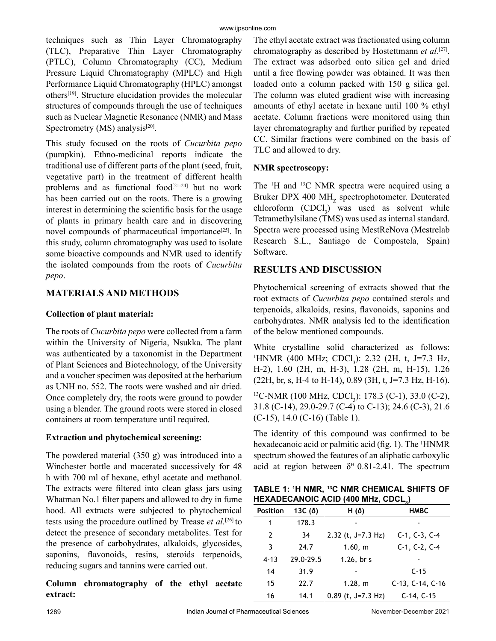techniques such as Thin Layer Chromatography (TLC), Preparative Thin Layer Chromatography (PTLC), Column Chromatography (CC), Medium Pressure Liquid Chromatography (MPLC) and High Performance Liquid Chromatography (HPLC) amongst others[19]. Structure elucidation provides the molecular structures of compounds through the use of techniques such as Nuclear Magnetic Resonance (NMR) and Mass Spectrometry  $(MS)$  analysis<sup>[20]</sup>.

This study focused on the roots of *Cucurbita pepo* (pumpkin). Ethno-medicinal reports indicate the traditional use of different parts of the plant (seed, fruit, vegetative part) in the treatment of different health problems and as functional food<sup>[21-24]</sup> but no work has been carried out on the roots. There is a growing interest in determining the scientific basis for the usage of plants in primary health care and in discovering novel compounds of pharmaceutical importance<sup>[25]</sup>. In this study, column chromatography was used to isolate some bioactive compounds and NMR used to identify the isolated compounds from the roots of *Cucurbita pepo*.

# **MATERIALS AND METHODS**

## **Collection of plant material:**

The roots of *Cucurbita pepo* were collected from a farm within the University of Nigeria, Nsukka. The plant was authenticated by a taxonomist in the Department of Plant Sciences and Biotechnology, of the University and a voucher specimen was deposited at the herbarium as UNH no. 552. The roots were washed and air dried. Once completely dry, the roots were ground to powder using a blender. The ground roots were stored in closed containers at room temperature until required.

#### **Extraction and phytochemical screening:**

The powdered material (350 g) was introduced into a Winchester bottle and macerated successively for 48 h with 700 ml of hexane, ethyl acetate and methanol. The extracts were filtered into clean glass jars using Whatman No.1 filter papers and allowed to dry in fume hood. All extracts were subjected to phytochemical tests using the procedure outlined by Trease *et al.*[26] to detect the presence of secondary metabolites. Test for the presence of carbohydrates, alkaloids, glycosides, saponins, flavonoids, resins, steroids terpenoids, reducing sugars and tannins were carried out.

**Column chromatography of the ethyl acetate extract:**

The ethyl acetate extract was fractionated using column chromatography as described by Hostettmann *et al.*[27]. The extract was adsorbed onto silica gel and dried until a free flowing powder was obtained. It was then loaded onto a column packed with 150 g silica gel. The column was eluted gradient wise with increasing amounts of ethyl acetate in hexane until 100 % ethyl acetate. Column fractions were monitored using thin layer chromatography and further purified by repeated CC. Similar fractions were combined on the basis of TLC and allowed to dry.

## **NMR spectroscopy:**

The <sup>1</sup>H and <sup>13</sup>C NMR spectra were acquired using a Bruker DPX 400 MH<sub>z</sub> spectrophotometer. Deuterated  $chloroform$   $(CDCl<sub>3</sub>)$  was used as solvent while Tetramethylsilane (TMS) was used as internal standard. Spectra were processed using MestReNova (Mestrelab Research S.L., Santiago de Compostela, Spain) Software.

# **RESULTS AND DISCUSSION**

Phytochemical screening of extracts showed that the root extracts of *Cucurbita pepo* contained sterols and terpenoids, alkaloids, resins, flavonoids, saponins and carbohydrates. NMR analysis led to the identification of the below mentioned compounds.

White crystalline solid characterized as follows:  $1$ HNMR (400 MHz; CDCl<sub>3</sub>): 2.32 (2H, t, J=7.3 Hz, H-2), 1.60 (2H, m, H-3), 1.28 (2H, m, H-15), 1.26  $(22H, br, s, H-4 to H-14), 0.89 (3H, t, J=7.3 Hz, H-16).$ 

<sup>13</sup>C-NMR (100 MHz, CDCl<sub>3</sub>): 178.3 (C-1), 33.0 (C-2), 31.8 (C-14), 29.0-29.7 (C-4) to C-13); 24.6 (C-3), 21.6 (C-15), 14.0 (C-16) (Table 1).

The identity of this compound was confirmed to be hexadecanoic acid or palmitic acid (fig. 1). The <sup>1</sup>HNMR spectrum showed the features of an aliphatic carboxylic acid at region between  $\delta^H$  0.81-2.41. The spectrum

**TABLE 1: 1 H NMR, 13C NMR CHEMICAL SHIFTS OF HEXADECANOIC ACID (400 MHz, CDCL3 )** 

|                 |                |                      | $\cdot$            |
|-----------------|----------------|----------------------|--------------------|
| <b>Position</b> | 13C $(\delta)$ | H( $\delta$ )        | <b>HMBC</b>        |
| 1               | 178.3          |                      |                    |
| 2               | 34             | 2.32 (t, $J=7.3$ Hz) | $C-1, C-3, C-4$    |
| 3               | 24.7           | 1.60, m              | $C-1, C-2, C-4$    |
| $4 - 13$        | 29.0-29.5      | $1.26$ , br s        |                    |
| 14              | 31.9           |                      | $C-15$             |
| 15              | 22.7           | 1.28, m              | $C-13, C-14, C-16$ |
| 16              | 14.1           | $0.89$ (t, J=7.3 Hz) | $C-14, C-15$       |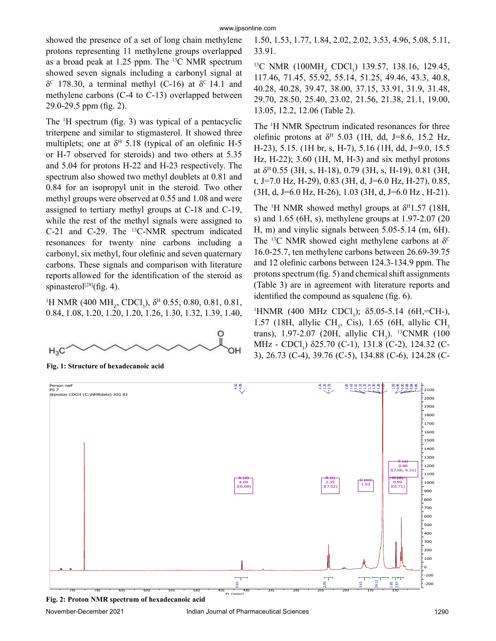showed the presence of a set of long chain methylene protons representing 11 methylene groups overlapped as a broad peak at 1.25 ppm. The <sup>13</sup>C NMR spectrum showed seven signals including a carbonyl signal at δ<sup>c</sup> 178.30, a terminal methyl (C-16) at δ<sup>c</sup> 14.1 and methylene carbons (C-4 to C-13) overlapped between 29.0-29.5 ppm (fig. 2).

The 1 H spectrum (fig. 3) was typical of a pentacyclic triterpene and similar to stigmasterol. It showed three multiplets; one at  $\delta^H$  5.18 (typical of an olefinic H-5 or H-7 observed for steroids) and two others at 5.35 and 5.04 for protons H-22 and H-23 respectively. The spectrum also showed two methyl doublets at 0.81 and 0.84 for an isopropyl unit in the steroid. Two other methyl groups were observed at 0.55 and 1.08 and were assigned to tertiary methyl groups at C-18 and C-19, while the rest of the methyl signals were assigned to C-21 and C-29. The <sup>13</sup>C-NMR spectrum indicated resonances for twenty nine carbons including a carbonyl, six methyl, four olefinic and seven quaternary carbons. These signals and comparison with literature reports allowed for the identification of the steroid as spinasterol<sup>[28]</sup>(fig. 4).

<sup>1</sup>H NMR (400 MH<sub>z</sub>, CDCl<sub>3</sub>), δ<sup>H</sup> 0.55, 0.80, 0.81, 0.81, 0.84, 1.08, 1.20, 1.20, 1.20, 1.26, 1.30, 1.32, 1.39, 1.40,



**Fig. 1: Structure of hexadecanoic acid**

1.50, 1.53, 1.77, 1.84, 2.02, 2.02, 3.53, 4.96, 5.08, 5.11, 33.91.

<sup>13</sup>C NMR (100MH<sub>z</sub> CDCl<sub>3</sub>) 139.57, 138.16, 129.45, 117.46, 71.45, 55.92, 55.14, 51.25, 49.46, 43.3, 40.8, 40.28, 40.28, 39.47, 38.00, 37.15, 33.91, 31.9, 31.48, 29.70, 28.50, 25.40, 23.02, 21.56, 21.38, 21.1, 19.00, 13.05, 12.2, 12.06 (Table 2).

The <sup>1</sup>H NMR Spectrum indicated resonances for three olefinic protons at  $\delta^H$  5.03 (1H, dd, J=8.6, 15.2 Hz, H-23), 5.15. (1H br, s, H-7), 5.16 (1H, dd, J=9.0, 15.5 Hz, H-22); 3.60 (1H, M, H-3) and six methyl protons at  $\delta^H$  0.55 (3H, s, H-18), 0.79 (3H, s, H-19), 0.81 (3H, t, J=7.0 Hz, H-29), 0.83 (3H, d, J=6.0 Hz, H-27), 0.85,  $(3H, d, J=6.0 \text{ Hz}, H=26)$ , 1.03 (3H, d, J=6.0 Hz, H-21).

The <sup>1</sup>H NMR showed methyl groups at  $\delta^{H}1.57$  (18H, s) and 1.65 (6H, s), methylene groups at 1.97-2.07 (20 H, m) and vinylic signals between 5.05-5.14 (m, 6H). The <sup>13</sup>C NMR showed eight methylene carbons at  $\delta^C$ 16.0-25.7, ten methylene carbons between 26.69-39.75 and 12 olefinic carbons between 124.3-134.9 ppm. The protons spectrum (fig. 5) and chemical shift assignments (Table 3) are in agreement with literature reports and identified the compound as squalene (fig. 6).

<sup>1</sup>HNMR (400 MHz CDCl<sub>3</sub>); δ5.05-5.14 (6H,=CH-), 1.57 (18H, allylic CH<sub>3</sub>, Cis), 1.65 (6H, allylic CH<sub>3</sub> trans), 1.97-2.07 (20H, allylic  $CH_3$ ). <sup>13</sup>CNMR (100 MHz - CDCl<sub>3</sub>) δ25.70 (C-1), 131.8 (C-2), 124.32 (C-3), 26.73 (C-4), 39.76 (C-5), 134.88 (C-6), 124.28 (C-



**Fig. 2: Proton NMR spectrum of hexadecanoic acid**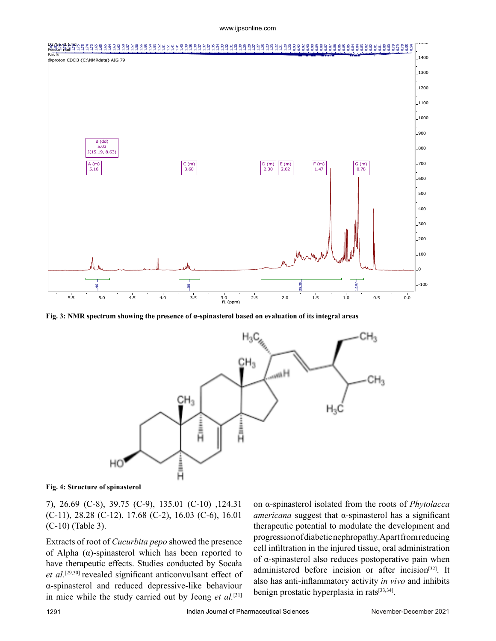www.ijpsonline.com



**Fig. 3: NMR spectrum showing the presence of α-spinasterol based on evaluation of its integral areas**



**Fig. 4: Structure of spinasterol**

7), 26.69 (C-8), 39.75 (C-9), 135.01 (C-10) ,124.31 (C-11), 28.28 (C-12), 17.68 (C-2), 16.03 (C-6), 16.01 (C-10) (Table 3).

Extracts of root of *Cucurbita pepo* showed the presence of Alpha  $(\alpha)$ -spinasterol which has been reported to have therapeutic effects. Studies conducted by Socała *et al.*[29,30] revealed significant anticonvulsant effect of α-spinasterol and reduced depressive-like behaviour in mice while the study carried out by Jeong *et al.*[31] on α-spinasterol isolated from the roots of *Phytolacca americana* suggest that α-spinasterol has a significant therapeutic potential to modulate the development and progression of diabetic nephropathy. Apart from reducing cell infiltration in the injured tissue, oral administration of α-spinasterol also reduces postoperative pain when administered before incision or after incision<sup>[32]</sup>. It also has anti-inflammatory activity *in vivo* and inhibits benign prostatic hyperplasia in rats<sup>[33,34]</sup>.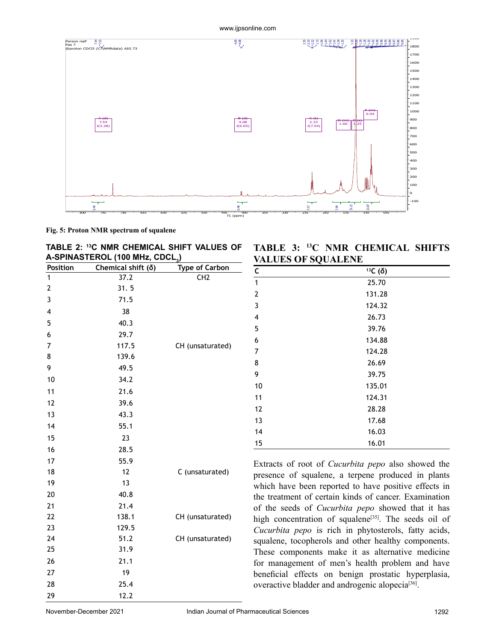

**Fig. 5: Proton NMR spectrum of squalene**

|                                             | TABLE 2: <sup>13</sup> C NMR CHEMICAL SHIFT VALUES OF |
|---------------------------------------------|-------------------------------------------------------|
| A-SPINASTEROL (100 MHz, CDCL <sub>3</sub> ) |                                                       |

| Position                | Chemical shift $(\delta)$ | <b>Type of Carbon</b> |
|-------------------------|---------------------------|-----------------------|
| 1                       | 37.2                      | CH <sub>2</sub>       |
| $\overline{\mathbf{c}}$ | 31.5                      |                       |
| 3                       | 71.5                      |                       |
| $\overline{4}$          | 38                        |                       |
| 5                       | 40.3                      |                       |
| 6                       | 29.7                      |                       |
| 7                       | 117.5                     | CH (unsaturated)      |
| 8                       | 139.6                     |                       |
| 9                       | 49.5                      |                       |
| 10                      | 34.2                      |                       |
| 11                      | 21.6                      |                       |
| 12                      | 39.6                      |                       |
| 13                      | 43.3                      |                       |
| 14                      | 55.1                      |                       |
| 15                      | 23                        |                       |
| 16                      | 28.5                      |                       |
| 17                      | 55.9                      |                       |
| 18                      | 12                        | C (unsaturated)       |
| 19                      | 13                        |                       |
| 20                      | 40.8                      |                       |
| 21                      | 21.4                      |                       |
| 22                      | 138.1                     | CH (unsaturated)      |
| 23                      | 129.5                     |                       |
| 24                      | 51.2                      | CH (unsaturated)      |
| 25                      | 31.9                      |                       |
| 26                      | 21.1                      |                       |
| 27                      | 19                        |                       |
| 28                      | 25.4                      |                       |
| 29                      | 12.2                      |                       |

**TABLE 3: 13C NMR CHEMICAL SHIFTS VALUES OF SOUALENE** 

| <u>values of syualene</u> |                    |  |  |
|---------------------------|--------------------|--|--|
| $\mathsf{C}$              | $13C$ ( $\delta$ ) |  |  |
| $\mathbf{1}$              | 25.70              |  |  |
| $\mathbf{2}$              | 131.28             |  |  |
| 3                         | 124.32             |  |  |
| 4                         | 26.73              |  |  |
| 5                         | 39.76              |  |  |
| 6                         | 134.88             |  |  |
| 7                         | 124.28             |  |  |
| 8                         | 26.69              |  |  |
| 9                         | 39.75              |  |  |
| 10                        | 135.01             |  |  |
| 11                        | 124.31             |  |  |
| 12                        | 28.28              |  |  |
| 13                        | 17.68              |  |  |
| 14                        | 16.03              |  |  |
| 15                        | 16.01              |  |  |

Extracts of root of *Cucurbita pepo* also showed the presence of squalene, a terpene produced in plants which have been reported to have positive effects in the treatment of certain kinds of cancer. Examination of the seeds of *Cucurbita pepo* showed that it has high concentration of squalene<sup>[35]</sup>. The seeds oil of *Cucurbita pepo* is rich in phytosterols, fatty acids, squalene, tocopherols and other healthy components. These components make it as alternative medicine for management of men's health problem and have beneficial effects on benign prostatic hyperplasia, overactive bladder and androgenic alopecia<sup>[36]</sup>.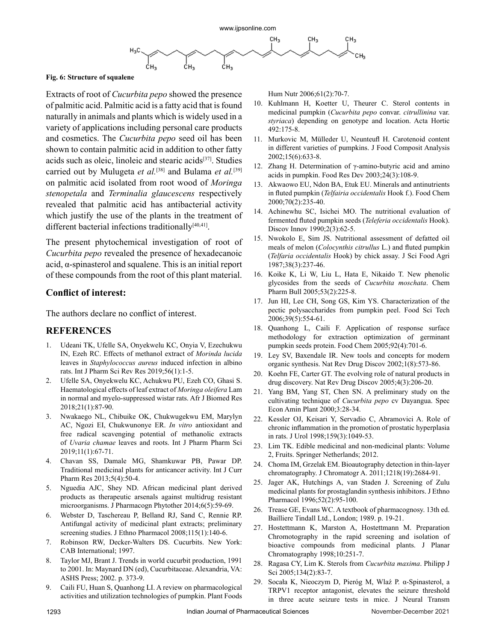

#### **Fig. 6: Structure of squalene**

Extracts of root of *Cucurbita pepo* showed the presence of palmitic acid. Palmitic acid is a fatty acid that is found naturally in animals and plants which is widely used in a variety of applications including personal care products and cosmetics. The *Cucurbita pepo* seed oil has been shown to contain palmitic acid in addition to other fatty acids such as oleic, linoleic and stearic acids<sup>[37]</sup>. Studies carried out by Mulugeta *et al.*[38] and Bulama *et al.*[39] on palmitic acid isolated from root wood of *Moringa stenopetala* and *Terminalia glaucescens* respectively revealed that palmitic acid has antibacterial activity which justify the use of the plants in the treatment of different bacterial infections traditionally $[40,41]$ .

The present phytochemical investigation of root of *Cucurbita pepo* revealed the presence of hexadecanoic acid, α-spinasterol and squalene. This is an initial report of these compounds from the root of this plant material.

#### **Conflict of interest:**

The authors declare no conflict of interest.

#### **REFERENCES**

- 1. Udeani TK, Ufelle SA, Onyekwelu KC, Onyia V, Ezechukwu IN, Ezeh RC. Effects of methanol extract of *Morinda lucida* leaves in *Staphylococcus aureus* induced infection in albino rats. Int J Pharm Sci Rev Res 2019;56(1):1-5.
- 2. Ufelle SA, Onyekwelu KC, Achukwu PU, Ezeh CO, Ghasi S. Haematological effects of leaf extract of *Moringa oleifera* Lam in normal and myelo-suppressed wistar rats. Afr J Biomed Res 2018;21(1):87-90.
- 3. Nwakaego NL, Chibuike OK, Chukwugekwu EM, Marylyn AC, Ngozi EI, Chukwunonye ER. *In vitro* antioxidant and free radical scavenging potential of methanolic extracts of *Uvaria chamae* leaves and roots. Int J Pharm Pharm Sci 2019;11(1):67-71.
- 4. Chavan SS, Damale MG, Shamkuwar PB, Pawar DP. Traditional medicinal plants for anticancer activity. Int J Curr Pharm Res 2013;5(4):50-4.
- 5. Nguedia AJC, Shey ND. African medicinal plant derived products as therapeutic arsenals against multidrug resistant microorganisms. J Pharmacogn Phytother 2014;6(5):59-69.
- 6. Webster D, Taschereau P, Belland RJ, Sand C, Rennie RP. Antifungal activity of medicinal plant extracts; preliminary screening studies. J Ethno Pharmacol 2008;115(1):140-6.
- 7. Robinson RW, Decker-Walters DS. Cucurbits. New York: CAB International; 1997.
- 8. Taylor MJ, Brant J. Trends in world cucurbit production, 1991 to 2001. In: Maynard DN (ed), Cucurbitaceae. Alexandria, VA: ASHS Press; 2002. p. 373-9.
- 9. Caili FU, Huan S, Quanhong LI. A review on pharmacological activities and utilization technologies of pumpkin. Plant Foods

Hum Nutr 2006;61(2):70-7.

- 10. Kuhlmann H, Koetter U, Theurer C. Sterol contents in medicinal pumpkin (*Cucurbita pepo* convar. *citrullinina* var. *styriaca*) depending on genotype and location. Acta Hortic 492:175-8.
- 11. Murkovic M, Mülleder U, Neunteufl H. Carotenoid content in different varieties of pumpkins. J Food Composit Analysis 2002;15(6):633-8.
- 12. Zhang H. Determination of γ-amino-butyric acid and amino acids in pumpkin. Food Res Dev 2003;24(3):108-9.
- 13. Akwaowo EU, Ndon BA, Etuk EU. Minerals and antinutrients in fluted pumpkin (*Telfairia occidentalis* Hook f.). Food Chem 2000;70(2):235-40.
- 14. Achinewhu SC, Isichei MO. The nutritional evaluation of fermented fluted pumpkin seeds (*Teleferia occidentalis* Hook). Discov Innov 1990;2(3):62-5.
- 15. Nwokolo E, Sim JS. Nutritional assessment of defatted oil meals of melon (*Colocynthis citrullus* L.) and fluted pumpkin (*Telfaria occidentalis* Hook) by chick assay. J Sci Food Agri 1987;38(3):237-46.
- 16. Koike K, Li W, Liu L, Hata E, Nikaido T. New phenolic glycosides from the seeds of *Cucurbita moschata*. Chem Pharm Bull 2005;53(2):225-8.
- 17. Jun HI, Lee CH, Song GS, Kim YS. Characterization of the pectic polysaccharides from pumpkin peel. Food Sci Tech 2006;39(5):554-61.
- 18. Quanhong L, Caili F. Application of response surface methodology for extraction optimization of germinant pumpkin seeds protein. Food Chem 2005;92(4):701-6.
- 19. Ley SV, Baxendale IR. New tools and concepts for modern organic synthesis. Nat Rev Drug Discov 2002;1(8):573-86.
- 20. Koehn FE, Carter GT. The evolving role of natural products in drug discovery. Nat Rev Drug Discov 2005;4(3):206-20.
- 21. Yang BM, Yang ST, Chen SN. A preliminary study on the cultivating technique of *Cucurbita pepo* cv Dayangua. Spec Econ Amin Plant 2000;3:28-34.
- 22. Kessler OJ, Keisari Y, Servadio C, Abramovici A. Role of chronic inflammation in the promotion of prostatic hyperplasia in rats. J Urol 1998;159(3):1049-53.
- 23. Lim TK. Edible medicinal and non-medicinal plants: Volume 2, Fruits. Springer Netherlands; 2012.
- 24. Choma IM, Grzelak EM. Bioautography detection in thin-layer chromatography. J Chromatogr A. 2011;1218(19):2684-91.
- 25. Jager AK, Hutchings A, van Staden J. Screening of Zulu medicinal plants for prostaglandin synthesis inhibitors. J Ethno Pharmacol 1996;52(2):95-100.
- 26. Trease GE, Evans WC. A textbook of pharmacognosy. 13th ed. Bailliere Tindall Ltd., London; 1989. p. 19-21.
- 27. Hostettmann K, Marston A, Hostettmann M. Preparation Chromotography in the rapid screening and isolation of bioactive compounds from medicinal plants. J Planar Chromatography 1998;10:251-7.
- 28. Ragasa CY, Lim K. Sterols from *Cucurbita maxima*. Philipp J Sci 2005;134(2):83-7.
- 29. Socała K, Nieoczym D, Pieróg M, Wlaź P. α-Spinasterol, a TRPV1 receptor antagonist, elevates the seizure threshold in three acute seizure tests in mice. J Neural Transm